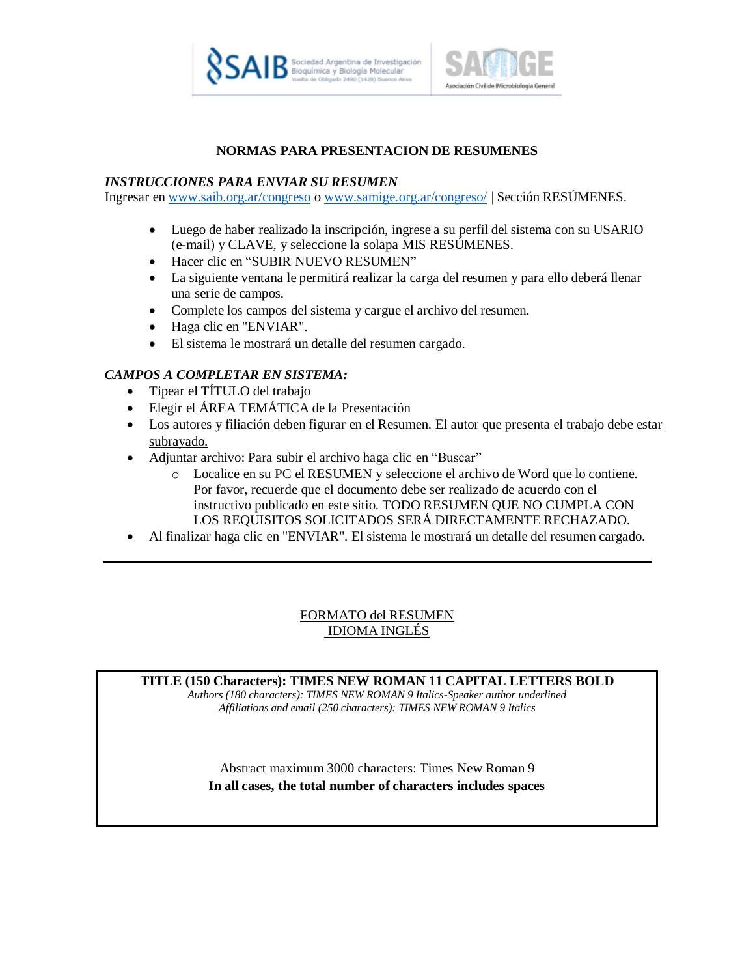



#### **NORMAS PARA PRESENTACION DE RESUMENES**

#### *INSTRUCCIONES PARA ENVIAR SU RESUMEN*

Ingresar en [www.saib.org.ar/congreso](http://www.saib.org.ar/congreso) o [www.samige.org.ar/congreso/](http://www.samige.org.ar/congreso/) | Sección RESÚMENES.

- Luego de haber realizado la inscripción, ingrese a su perfil del sistema con su USARIO (e-mail) y CLAVE, y seleccione la solapa MIS RESÚMENES.
- Hacer clic en "SUBIR NUEVO RESUMEN"
- La siguiente ventana le permitirá realizar la carga del resumen y para ello deberá llenar una serie de campos.
- Complete los campos del sistema y cargue el archivo del resumen.
- Haga clic en "ENVIAR".
- El sistema le mostrará un detalle del resumen cargado.

# *CAMPOS A COMPLETAR EN SISTEMA:*

- Tipear el TÍTULO del trabajo
- Elegir el ÁREA TEMÁTICA de la Presentación
- Los autores y filiación deben figurar en el Resumen. El autor que presenta el trabajo debe estar subrayado.
- Adjuntar archivo: Para subir el archivo haga clic en "Buscar"
	- o Localice en su PC el RESUMEN y seleccione el archivo de Word que lo contiene. Por favor, recuerde que el documento debe ser realizado de acuerdo con el instructivo publicado en este sitio. TODO RESUMEN QUE NO CUMPLA CON LOS REQUISITOS SOLICITADOS SERÁ DIRECTAMENTE RECHAZADO.
- Al finalizar haga clic en "ENVIAR". El sistema le mostrará un detalle del resumen cargado.

# FORMATO del RESUMEN IDIOMA INGLÉS

**TITLE (150 Characters): TIMES NEW ROMAN 11 CAPITAL LETTERS BOLD**

*Authors (180 characters): TIMES NEW ROMAN 9 Italics-Speaker author underlined Affiliations and email (250 characters): TIMES NEW ROMAN 9 Italics*

Abstract maximum 3000 characters: Times New Roman 9 **In all cases, the total number of characters includes spaces**